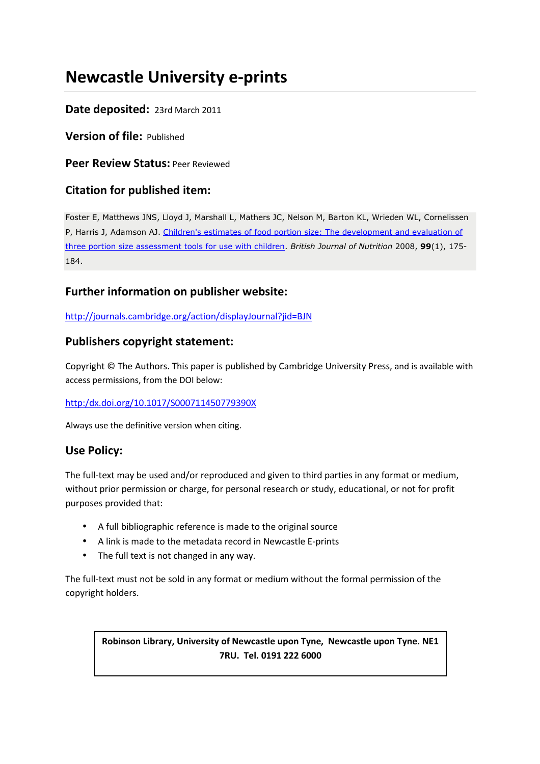# **Newcastle University e-prints**

### **Date deposited:** 23rd March 2011

**Version of file:** Published

**Peer Review Status:** Peer Reviewed

### **Citation for published item:**

Foster E, Matthews JNS, Lloyd J, Marshall L, Mathers JC, Nelson M, Barton KL, Wrieden WL, Cornelissen P, Harris J, Adamson AJ. Children's estimates of food portion size: The development and evaluation of three portion size assessment tools for use with children. *British Journal of Nutrition* 2008, **99**(1), 175- 184.

### **Further information on publisher website:**

http://journals.cambridge.org/action/displayJournal?jid=BJN

### **Publishers copyright statement:**

Copyright © The Authors. This paper is published by Cambridge University Press, and is available with access permissions, from the DOI below:

### http:/dx.doi.org/10.1017/S000711450779390X

Always use the definitive version when citing.

### **Use Policy:**

The full-text may be used and/or reproduced and given to third parties in any format or medium, without prior permission or charge, for personal research or study, educational, or not for profit purposes provided that:

- A full bibliographic reference is made to the original source
- A link is made to the metadata record in Newcastle E-prints
- The full text is not changed in any way.

The full-text must not be sold in any format or medium without the formal permission of the copyright holders.

### **Robinson Library, University of Newcastle upon Tyne, Newcastle upon Tyne. NE1 7RU. Tel. 0191 222 6000**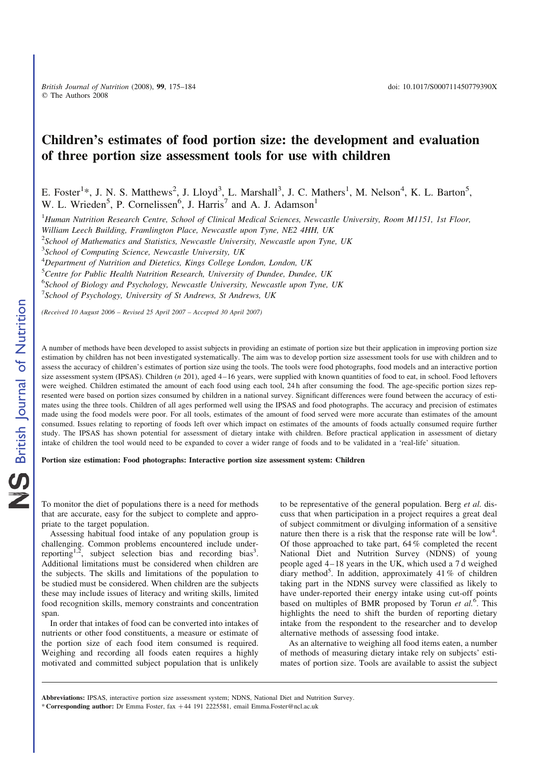*British Journal of Nutrition* (2008), 99, 175–184 doi: 10.1017/S000711450779390X q The Authors 2008

## Children's estimates of food portion size: the development and evaluation of three portion size assessment tools for use with children

E. Foster<sup>1\*</sup>, J. N. S. Matthews<sup>2</sup>, J. Lloyd<sup>3</sup>, L. Marshall<sup>3</sup>, J. C. Mathers<sup>1</sup>, M. Nelson<sup>4</sup>, K. L. Barton<sup>5</sup>, W. L. Wrieden<sup>5</sup>, P. Cornelissen<sup>6</sup>, J. Harris<sup>7</sup> and A. J. Adamson<sup>1</sup>

<sup>1</sup>*Human Nutrition Research Centre, School of Clinical Medical Sciences, Newcastle University, Room M1151, 1st Floor,*

*William Leech Building, Framlington Place, Newcastle upon Tyne, NE2 4HH, UK*

2 *School of Mathematics and Statistics, Newcastle University, Newcastle upon Tyne, UK*

3 *School of Computing Science, Newcastle University, UK*

<sup>4</sup>*Department of Nutrition and Dietetics, Kings College London, London, UK*

<sup>5</sup>*Centre for Public Health Nutrition Research, University of Dundee, Dundee, UK*

6 *School of Biology and Psychology, Newcastle University, Newcastle upon Tyne, UK*

7 *School of Psychology, University of St Andrews, St Andrews, UK*

*(Received 10 August 2006 – Revised 25 April 2007 – Accepted 30 April 2007)*

A number of methods have been developed to assist subjects in providing an estimate of portion size but their application in improving portion size estimation by children has not been investigated systematically. The aim was to develop portion size assessment tools for use with children and to assess the accuracy of children's estimates of portion size using the tools. The tools were food photographs, food models and an interactive portion size assessment system (IPSAS). Children (*n* 201), aged 4–16 years, were supplied with known quantities of food to eat, in school. Food leftovers were weighed. Children estimated the amount of each food using each tool, 24 h after consuming the food. The age-specific portion sizes represented were based on portion sizes consumed by children in a national survey. Significant differences were found between the accuracy of estimates using the three tools. Children of all ages performed well using the IPSAS and food photographs. The accuracy and precision of estimates made using the food models were poor. For all tools, estimates of the amount of food served were more accurate than estimates of the amount consumed. Issues relating to reporting of foods left over which impact on estimates of the amounts of foods actually consumed require further study. The IPSAS has shown potential for assessment of dietary intake with children. Before practical application in assessment of dietary intake of children the tool would need to be expanded to cover a wider range of foods and to be validated in a 'real-life' situation.

Portion size estimation: Food photographs: Interactive portion size assessment system: Children

To monitor the diet of populations there is a need for methods that are accurate, easy for the subject to complete and appropriate to the target population.

Assessing habitual food intake of any population group is challenging. Common problems encountered include underreporting<sup>1,2</sup>, subject selection bias and recording bias<sup>3</sup>. Additional limitations must be considered when children are the subjects. The skills and limitations of the population to be studied must be considered. When children are the subjects these may include issues of literacy and writing skills, limited food recognition skills, memory constraints and concentration span.

In order that intakes of food can be converted into intakes of nutrients or other food constituents, a measure or estimate of the portion size of each food item consumed is required. Weighing and recording all foods eaten requires a highly motivated and committed subject population that is unlikely to be representative of the general population. Berg *et al.* discuss that when participation in a project requires a great deal of subject commitment or divulging information of a sensitive nature then there is a risk that the response rate will be  $\text{low}^4$ . Of those approached to take part, 64 % completed the recent National Diet and Nutrition Survey (NDNS) of young people aged 4–18 years in the UK, which used a 7 d weighed diary method<sup>5</sup>. In addition, approximately 41% of children taking part in the NDNS survey were classified as likely to have under-reported their energy intake using cut-off points based on multiples of BMR proposed by Torun et al.<sup>6</sup>. This highlights the need to shift the burden of reporting dietary intake from the respondent to the researcher and to develop alternative methods of assessing food intake.

As an alternative to weighing all food items eaten, a number of methods of measuring dietary intake rely on subjects' estimates of portion size. Tools are available to assist the subject

\* Corresponding author: Dr Emma Foster, fax +44 191 2225581, email Emma.Foster@ncl.ac.uk Abbreviations: IPSAS, interactive portion size assessment system; NDNS, National Diet and Nutrition Survey.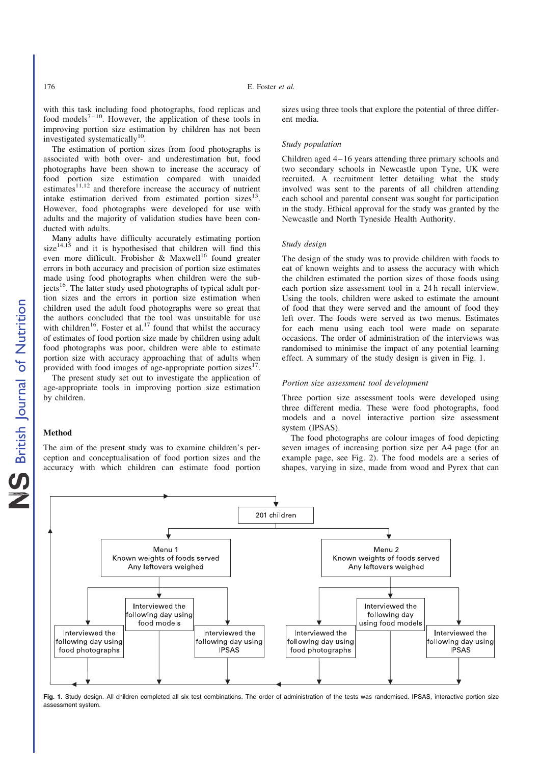with this task including food photographs, food replicas and food models $7^{-10}$ . However, the application of these tools in improving portion size estimation by children has not been investigated systematically<sup>10</sup>.

The estimation of portion sizes from food photographs is associated with both over- and underestimation but, food photographs have been shown to increase the accuracy of food portion size estimation compared with unaided estimates $^{11,12}$  and therefore increase the accuracy of nutrient intake estimation derived from estimated portion sizes $13$ . However, food photographs were developed for use with adults and the majority of validation studies have been conducted with adults.

Many adults have difficulty accurately estimating portion  $size<sup>14,15</sup>$  and it is hypothesised that children will find this even more difficult. Frobisher & Maxwell<sup>16</sup> found greater errors in both accuracy and precision of portion size estimates made using food photographs when children were the sub $j$  jects<sup>16</sup>. The latter study used photographs of typical adult portion sizes and the errors in portion size estimation when children used the adult food photographs were so great that the authors concluded that the tool was unsuitable for use with children<sup>16</sup>. Foster et al.<sup>17</sup> found that whilst the accuracy of estimates of food portion size made by children using adult food photographs was poor, children were able to estimate portion size with accuracy approaching that of adults when provided with food images of age-appropriate portion sizes<sup>17</sup> .

The present study set out to investigate the application of age-appropriate tools in improving portion size estimation by children.

#### Method

The aim of the present study was to examine children's perception and conceptualisation of food portion sizes and the accuracy with which children can estimate food portion

sizes using three tools that explore the potential of three different media.

#### *Study population*

Children aged 4–16 years attending three primary schools and two secondary schools in Newcastle upon Tyne, UK were recruited. A recruitment letter detailing what the study involved was sent to the parents of all children attending each school and parental consent was sought for participation in the study. Ethical approval for the study was granted by the Newcastle and North Tyneside Health Authority.

#### *Study design*

The design of the study was to provide children with foods to eat of known weights and to assess the accuracy with which the children estimated the portion sizes of those foods using each portion size assessment tool in a 24 h recall interview. Using the tools, children were asked to estimate the amount of food that they were served and the amount of food they left over. The foods were served as two menus. Estimates for each menu using each tool were made on separate occasions. The order of administration of the interviews was randomised to minimise the impact of any potential learning effect. A summary of the study design is given in Fig. 1.

#### *Portion size assessment tool development*

Three portion size assessment tools were developed using three different media. These were food photographs, food models and a novel interactive portion size assessment system (IPSAS).

The food photographs are colour images of food depicting seven images of increasing portion size per A4 page (for an example page, see Fig. 2). The food models are a series of shapes, varying in size, made from wood and Pyrex that can



Fig. 1. Study design. All children completed all six test combinations. The order of administration of the tests was randomised. IPSAS, interactive portion size assessment system.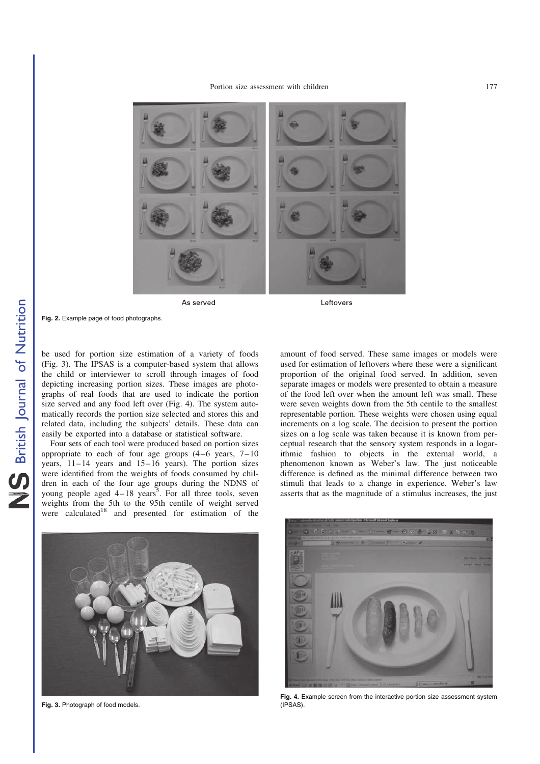

As served

Fig. 2. Example page of food photographs.

be used for portion size estimation of a variety of foods (Fig. 3). The IPSAS is a computer-based system that allows the child or interviewer to scroll through images of food depicting increasing portion sizes. These images are photographs of real foods that are used to indicate the portion size served and any food left over (Fig. 4). The system automatically records the portion size selected and stores this and related data, including the subjects' details. These data can easily be exported into a database or statistical software.

Four sets of each tool were produced based on portion sizes appropriate to each of four age groups  $(4-6$  years,  $7-10$ years,  $11-14$  years and  $15-16$  years). The portion sizes were identified from the weights of foods consumed by children in each of the four age groups during the NDNS of young people aged  $4-18$  years<sup>5</sup>. For all three tools, seven weights from the 5th to the 95th centile of weight served were calculated<sup>18</sup> and presented for estimation of the

amount of food served. These same images or models were used for estimation of leftovers where these were a significant proportion of the original food served. In addition, seven separate images or models were presented to obtain a measure of the food left over when the amount left was small. These were seven weights down from the 5th centile to the smallest representable portion. These weights were chosen using equal increments on a log scale. The decision to present the portion sizes on a log scale was taken because it is known from perceptual research that the sensory system responds in a logarithmic fashion to objects in the external world, a phenomenon known as Weber's law. The just noticeable difference is defined as the minimal difference between two stimuli that leads to a change in experience. Weber's law asserts that as the magnitude of a stimulus increases, the just



Fig. 3. Photograph of food models.



Fig. 4. Example screen from the interactive portion size assessment system (IPSAS).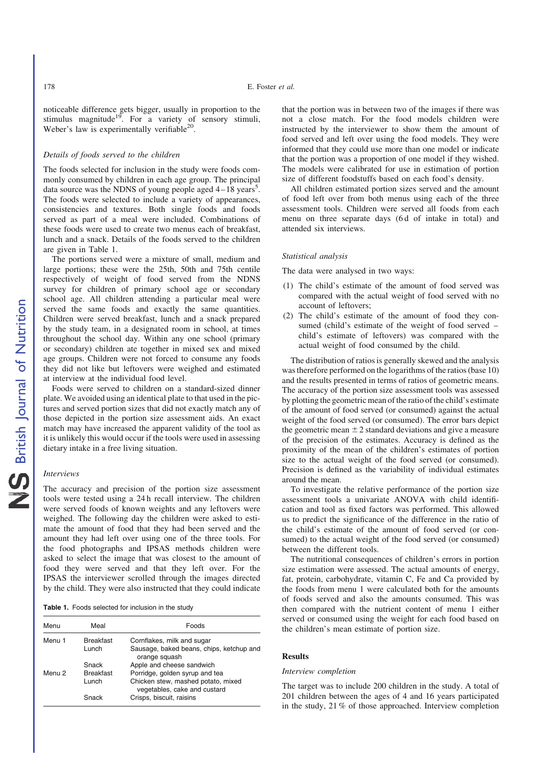noticeable difference gets bigger, usually in proportion to the stimulus magnitude<sup>19</sup>. For a variety of sensory stimuli, Weber's law is experimentally verifiable<sup>20</sup>.

#### *Details of foods served to the children*

The foods selected for inclusion in the study were foods commonly consumed by children in each age group. The principal data source was the NDNS of young people aged  $4-18$  years<sup>5</sup>. The foods were selected to include a variety of appearances, consistencies and textures. Both single foods and foods served as part of a meal were included. Combinations of these foods were used to create two menus each of breakfast, lunch and a snack. Details of the foods served to the children are given in Table 1.

The portions served were a mixture of small, medium and large portions; these were the 25th, 50th and 75th centile respectively of weight of food served from the NDNS survey for children of primary school age or secondary school age. All children attending a particular meal were served the same foods and exactly the same quantities. Children were served breakfast, lunch and a snack prepared by the study team, in a designated room in school, at times throughout the school day. Within any one school (primary or secondary) children ate together in mixed sex and mixed age groups. Children were not forced to consume any foods they did not like but leftovers were weighed and estimated at interview at the individual food level.

Foods were served to children on a standard-sized dinner plate. We avoided using an identical plate to that used in the pictures and served portion sizes that did not exactly match any of those depicted in the portion size assessment aids. An exact match may have increased the apparent validity of the tool as it is unlikely this would occur if the tools were used in assessing dietary intake in a free living situation.

#### *Interviews*

The accuracy and precision of the portion size assessment tools were tested using a 24 h recall interview. The children were served foods of known weights and any leftovers were weighed. The following day the children were asked to estimate the amount of food that they had been served and the amount they had left over using one of the three tools. For the food photographs and IPSAS methods children were asked to select the image that was closest to the amount of food they were served and that they left over. For the IPSAS the interviewer scrolled through the images directed by the child. They were also instructed that they could indicate

Table 1. Foods selected for inclusion in the study

| Menu              | Meal             | Foods                                                              |
|-------------------|------------------|--------------------------------------------------------------------|
| Menu 1            | <b>Breakfast</b> | Cornflakes, milk and sugar                                         |
|                   | Lunch            | Sausage, baked beans, chips, ketchup and                           |
|                   |                  | orange squash                                                      |
|                   | Snack            | Apple and cheese sandwich                                          |
| Menu <sub>2</sub> | <b>Breakfast</b> | Porridge, golden syrup and tea                                     |
|                   | Lunch            | Chicken stew, mashed potato, mixed<br>vegetables, cake and custard |
|                   | Snack            | Crisps, biscuit, raisins                                           |

that the portion was in between two of the images if there was not a close match. For the food models children were instructed by the interviewer to show them the amount of food served and left over using the food models. They were informed that they could use more than one model or indicate that the portion was a proportion of one model if they wished. The models were calibrated for use in estimation of portion size of different foodstuffs based on each food's density.

All children estimated portion sizes served and the amount of food left over from both menus using each of the three assessment tools. Children were served all foods from each menu on three separate days (6 d of intake in total) and attended six interviews.

#### *Statistical analysis*

The data were analysed in two ways:

- (1) The child's estimate of the amount of food served was compared with the actual weight of food served with no account of leftovers;
- (2) The child's estimate of the amount of food they consumed (child's estimate of the weight of food served – child's estimate of leftovers) was compared with the actual weight of food consumed by the child.

The distribution of ratios is generally skewed and the analysis was therefore performed on the logarithms of the ratios (base 10) and the results presented in terms of ratios of geometric means. The accuracy of the portion size assessment tools was assessed by plotting the geometric mean of the ratio of the child's estimate of the amount of food served (or consumed) against the actual weight of the food served (or consumed). The error bars depict the geometric mean  $\pm 2$  standard deviations and give a measure of the precision of the estimates. Accuracy is defined as the proximity of the mean of the children's estimates of portion size to the actual weight of the food served (or consumed). Precision is defined as the variability of individual estimates around the mean.

To investigate the relative performance of the portion size assessment tools a univariate ANOVA with child identification and tool as fixed factors was performed. This allowed us to predict the significance of the difference in the ratio of the child's estimate of the amount of food served (or consumed) to the actual weight of the food served (or consumed) between the different tools.

The nutritional consequences of children's errors in portion size estimation were assessed. The actual amounts of energy, fat, protein, carbohydrate, vitamin C, Fe and Ca provided by the foods from menu 1 were calculated both for the amounts of foods served and also the amounts consumed. This was then compared with the nutrient content of menu 1 either served or consumed using the weight for each food based on the children's mean estimate of portion size.

#### **Results**

#### *Interview completion*

The target was to include 200 children in the study. A total of 201 children between the ages of 4 and 16 years participated in the study, 21 % of those approached. Interview completion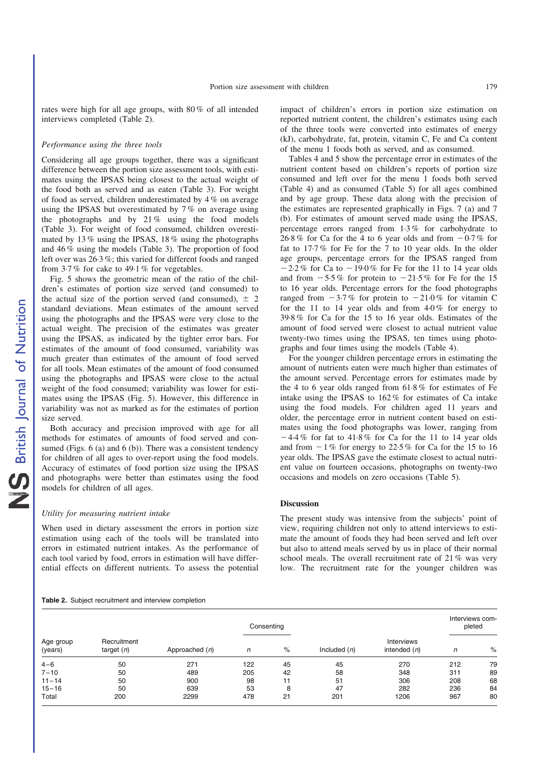rates were high for all age groups, with 80 % of all intended interviews completed (Table 2).

#### *Performance using the three tools*

Considering all age groups together, there was a significant difference between the portion size assessment tools, with estimates using the IPSAS being closest to the actual weight of the food both as served and as eaten (Table 3). For weight of food as served, children underestimated by 4 % on average using the IPSAS but overestimated by 7 % on average using the photographs and by  $21\%$  using the food models (Table 3). For weight of food consumed, children overestimated by 13 % using the IPSAS, 18 % using the photographs and 46 % using the models (Table 3). The proportion of food left over was 26·3 %; this varied for different foods and ranged from 3·7 % for cake to 49·1 % for vegetables.

Fig. 5 shows the geometric mean of the ratio of the children's estimates of portion size served (and consumed) to the actual size of the portion served (and consumed),  $\pm$  2 standard deviations. Mean estimates of the amount served using the photographs and the IPSAS were very close to the actual weight. The precision of the estimates was greater using the IPSAS, as indicated by the tighter error bars. For estimates of the amount of food consumed, variability was much greater than estimates of the amount of food served for all tools. Mean estimates of the amount of food consumed using the photographs and IPSAS were close to the actual weight of the food consumed; variability was lower for estimates using the IPSAS (Fig. 5). However, this difference in variability was not as marked as for the estimates of portion size served.

Both accuracy and precision improved with age for all methods for estimates of amounts of food served and consumed (Figs.  $6$  (a) and  $6$  (b)). There was a consistent tendency for children of all ages to over-report using the food models. Accuracy of estimates of food portion size using the IPSAS and photographs were better than estimates using the food models for children of all ages.

#### *Utility for measuring nutrient intake*

When used in dietary assessment the errors in portion size estimation using each of the tools will be translated into errors in estimated nutrient intakes. As the performance of each tool varied by food, errors in estimation will have differential effects on different nutrients. To assess the potential

impact of children's errors in portion size estimation on reported nutrient content, the children's estimates using each of the three tools were converted into estimates of energy (kJ), carbohydrate, fat, protein, vitamin C, Fe and Ca content of the menu 1 foods both as served, and as consumed.

Tables 4 and 5 show the percentage error in estimates of the nutrient content based on children's reports of portion size consumed and left over for the menu 1 foods both served (Table 4) and as consumed (Table 5) for all ages combined and by age group. These data along with the precision of the estimates are represented graphically in Figs. 7 (a) and 7 (b). For estimates of amount served made using the IPSAS, percentage errors ranged from 1·3 % for carbohydrate to 26.8 % for Ca for the 4 to 6 year olds and from  $-0.7\%$  for fat to 17·7 % for Fe for the 7 to 10 year olds. In the older age groups, percentage errors for the IPSAS ranged from  $-2.2\%$  for Ca to  $-19.0\%$  for Fe for the 11 to 14 year olds and from  $-5.5\%$  for protein to  $-21.5\%$  for Fe for the 15 to 16 year olds. Percentage errors for the food photographs ranged from  $-3.7\%$  for protein to  $-21.0\%$  for vitamin C for the 11 to 14 year olds and from  $4.0\%$  for energy to 39·8 % for Ca for the 15 to 16 year olds. Estimates of the amount of food served were closest to actual nutrient value twenty-two times using the IPSAS, ten times using photographs and four times using the models (Table 4).

For the younger children percentage errors in estimating the amount of nutrients eaten were much higher than estimates of the amount served. Percentage errors for estimates made by the 4 to 6 year olds ranged from 61·8 % for estimates of Fe intake using the IPSAS to 162 % for estimates of Ca intake using the food models. For children aged 11 years and older, the percentage error in nutrient content based on estimates using the food photographs was lower, ranging from  $-4.4\%$  for fat to  $41.8\%$  for Ca for the 11 to 14 year olds and from  $-1\%$  for energy to 22.5% for Ca for the 15 to 16 year olds. The IPSAS gave the estimate closest to actual nutrient value on fourteen occasions, photographs on twenty-two occasions and models on zero occasions (Table 5).

#### Discussion

The present study was intensive from the subjects' point of view, requiring children not only to attend interviews to estimate the amount of foods they had been served and left over but also to attend meals served by us in place of their normal school meals. The overall recruitment rate of 21 % was very low. The recruitment rate for the younger children was

#### Table 2. Subject recruitment and interview completion

| Age group<br>(years) |                             |                  | Consenting |      |                |                              | Interviews com-<br>pleted |      |
|----------------------|-----------------------------|------------------|------------|------|----------------|------------------------------|---------------------------|------|
|                      | Recruitment<br>target $(n)$ | Approached $(n)$ | n          | $\%$ | Included $(n)$ | Interviews<br>intended $(n)$ | n                         | $\%$ |
| $4 - 6$              | 50                          | 271              | 122        | 45   | 45             | 270                          | 212                       | 79   |
| $7 - 10$             | 50                          | 489              | 205        | 42   | 58             | 348                          | 311                       | 89   |
| $11 - 14$            | 50                          | 900              | 98         | 11   | 51             | 306                          | 208                       | 68   |
| $15 - 16$            | 50                          | 639              | 53         | 8    | 47             | 282                          | 236                       | 84   |
| Total                | 200                         | 2299             | 478        | 21   | 201            | 1206                         | 967                       | 80   |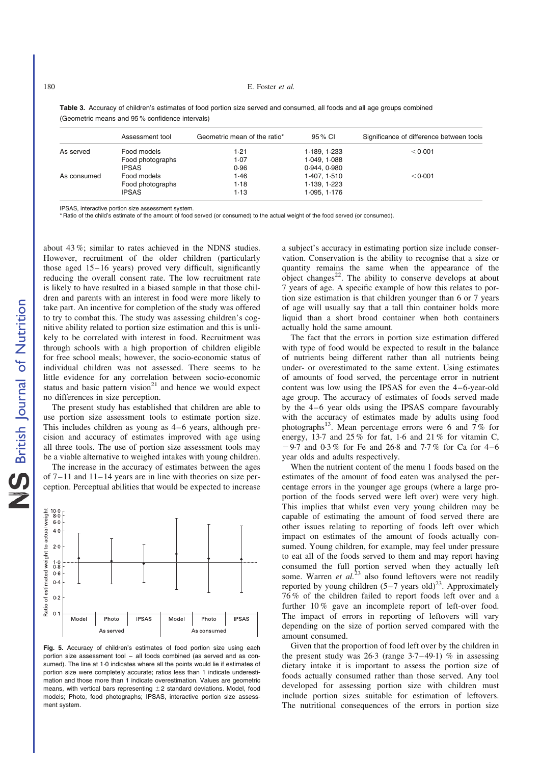#### 180 E. Foster *et al.*

|             | Assessment tool  | Geometric mean of the ratio* | 95 % CI      | Significance of difference between tools |
|-------------|------------------|------------------------------|--------------|------------------------------------------|
| As served   | Food models      | 1.21                         | 1.189, 1.233 | < 0.001                                  |
|             | Food photographs | 1.07                         | 1.049.1.088  |                                          |
|             | <b>IPSAS</b>     | 0.96                         | 0.944.0.980  |                                          |
| As consumed | Food models      | 1.46                         | 1.407, 1.510 | < 0.001                                  |
|             | Food photographs | 1.18                         | 1.139, 1.223 |                                          |
|             | <b>IPSAS</b>     | 1.13                         | 1.095, 1.176 |                                          |

Table 3. Accuracy of children's estimates of food portion size served and consumed, all foods and all age groups combined (Geometric means and 95 % confidence intervals)

IPSAS, interactive portion size assessment system.

\* Ratio of the child's estimate of the amount of food served (or consumed) to the actual weight of the food served (or consumed).

about 43 %; similar to rates achieved in the NDNS studies. However, recruitment of the older children (particularly those aged 15–16 years) proved very difficult, significantly reducing the overall consent rate. The low recruitment rate is likely to have resulted in a biased sample in that those children and parents with an interest in food were more likely to take part. An incentive for completion of the study was offered to try to combat this. The study was assessing children's cognitive ability related to portion size estimation and this is unlikely to be correlated with interest in food. Recruitment was through schools with a high proportion of children eligible for free school meals; however, the socio-economic status of individual children was not assessed. There seems to be little evidence for any correlation between socio-economic status and basic pattern vision $21$  and hence we would expect no differences in size perception.

The present study has established that children are able to use portion size assessment tools to estimate portion size. This includes children as young as 4–6 years, although precision and accuracy of estimates improved with age using all three tools. The use of portion size assessment tools may be a viable alternative to weighed intakes with young children.

The increase in the accuracy of estimates between the ages of  $7-11$  and  $11-14$  years are in line with theories on size perception. Perceptual abilities that would be expected to increase



Fig. 5. Accuracy of children's estimates of food portion size using each portion size assessment tool – all foods combined (as served and as consumed). The line at 1·0 indicates where all the points would lie if estimates of portion size were completely accurate; ratios less than 1 indicate underestimation and those more than 1 indicate overestimation. Values are geometric means, with vertical bars representing  $+2$  standard deviations. Model, food models; Photo, food photographs; IPSAS, interactive portion size assessment system.

a subject's accuracy in estimating portion size include conservation. Conservation is the ability to recognise that a size or quantity remains the same when the appearance of the  $\omega$ object changes<sup>22</sup>. The ability to conserve develops at about 7 years of age. A specific example of how this relates to portion size estimation is that children younger than 6 or 7 years of age will usually say that a tall thin container holds more liquid than a short broad container when both containers actually hold the same amount.

The fact that the errors in portion size estimation differed with type of food would be expected to result in the balance of nutrients being different rather than all nutrients being under- or overestimated to the same extent. Using estimates of amounts of food served, the percentage error in nutrient content was low using the IPSAS for even the 4–6-year-old age group. The accuracy of estimates of foods served made by the 4–6 year olds using the IPSAS compare favourably with the accuracy of estimates made by adults using food photographs<sup>13</sup>. Mean percentage errors were 6 and  $7\%$  for energy,  $13.7$  and  $25\%$  for fat,  $1.6$  and  $21\%$  for vitamin C,  $-9.7$  and  $0.3\%$  for Fe and 26.8 and 7.7% for Ca for 4–6 year olds and adults respectively.

When the nutrient content of the menu 1 foods based on the estimates of the amount of food eaten was analysed the percentage errors in the younger age groups (where a large proportion of the foods served were left over) were very high. This implies that whilst even very young children may be capable of estimating the amount of food served there are other issues relating to reporting of foods left over which impact on estimates of the amount of foods actually consumed. Young children, for example, may feel under pressure to eat all of the foods served to them and may report having consumed the full portion served when they actually left some. Warren *et al.*<sup>23</sup> also found leftovers were not readily reported by young children  $(5-7 \text{ years old})^{23}$ . Approximately 76 % of the children failed to report foods left over and a further 10 % gave an incomplete report of left-over food. The impact of errors in reporting of leftovers will vary depending on the size of portion served compared with the amount consumed.

Given that the proportion of food left over by the children in the present study was  $26.3$  (range  $3.7-49.1$ ) % in assessing dietary intake it is important to assess the portion size of foods actually consumed rather than those served. Any tool developed for assessing portion size with children must include portion sizes suitable for estimation of leftovers. The nutritional consequences of the errors in portion size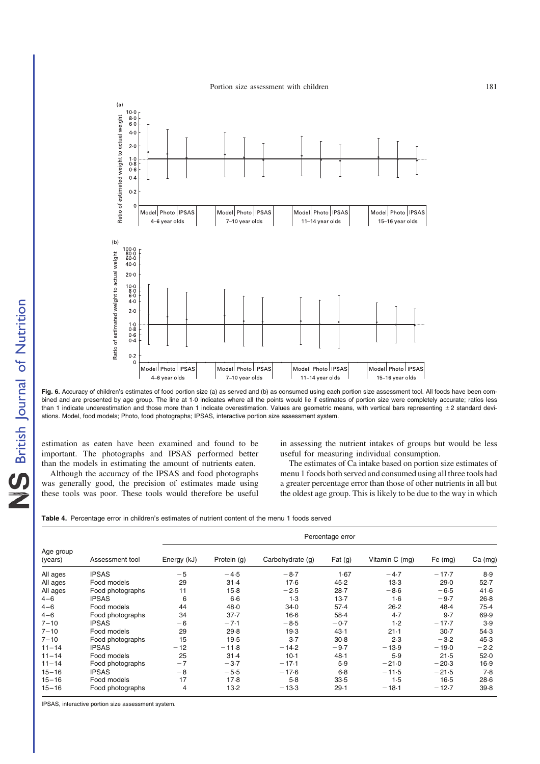

Fig. 6. Accuracy of children's estimates of food portion size (a) as served and (b) as consumed using each portion size assessment tool. All foods have been combined and are presented by age group. The line at 1.0 indicates where all the points would lie if estimates of portion size were completely accurate; ratios less than 1 indicate underestimation and those more than 1 indicate overestimation. Values are geometric means, with vertical bars representing  $\pm 2$  standard deviations. Model, food models; Photo, food photographs; IPSAS, interactive portion size assessment system.

estimation as eaten have been examined and found to be important. The photographs and IPSAS performed better than the models in estimating the amount of nutrients eaten.

Although the accuracy of the IPSAS and food photographs was generally good, the precision of estimates made using these tools was poor. These tools would therefore be useful in assessing the nutrient intakes of groups but would be less useful for measuring individual consumption.

The estimates of Ca intake based on portion size estimates of menu 1 foods both served and consumed using all three tools had a greater percentage error than those of other nutrients in all but the oldest age group. This is likely to be due to the way in which

Table 4. Percentage error in children's estimates of nutrient content of the menu 1 foods served

| Age group<br>(years) |                  | Percentage error |             |                  |          |                |           |         |
|----------------------|------------------|------------------|-------------|------------------|----------|----------------|-----------|---------|
|                      | Assessment tool  | Energy (kJ)      | Protein (g) | Carbohydrate (g) | Fat (g)  | Vitamin C (mg) | Fe $(mg)$ | Ca (mg) |
| All ages             | <b>IPSAS</b>     | $-5$             | $-4.5$      | $-8.7$           | 1.67     | $-4.7$         | $-17.7$   | 8.9     |
| All ages             | Food models      | 29               | $31 - 4$    | 17.6             | 45.2     | $13-3$         | 29.0      | 52.7    |
| All ages             | Food photographs | 11               | $15-8$      | $-2.5$           | $28 - 7$ | $-8.6$         | $-6.5$    | 41.6    |
| $4 - 6$              | <b>IPSAS</b>     | 6                | $6-6$       | 1.3              | $13-7$   | $1-6$          | $-9.7$    | $26-8$  |
| $4 - 6$              | Food models      | 44               | 48.0        | 34.0             | 57.4     | 26.2           | 48.4      | 75.4    |
| $4 - 6$              | Food photographs | 34               | $37 - 7$    | $16-6$           | $58-4$   | 4.7            | 9.7       | 69.9    |
| $7 - 10$             | <b>IPSAS</b>     | -6               | $-7.1$      | $-8.5$           | $-0.7$   | 1.2            | $-17.7$   | 3.9     |
| $7 - 10$             | Food models      | 29               | 29.8        | 19.3             | 43.1     | $21-1$         | $30-7$    | 54.3    |
| $7 - 10$             | Food photographs | 15               | 19.5        | $3-7$            | $30-8$   | 2.3            | $-3.2$    | 45.3    |
| $11 - 14$            | <b>IPSAS</b>     | $-12$            | $-11.8$     | $-14.2$          | $-9.7$   | $-13.9$        | $-19.0$   | $-2.2$  |
| $11 - 14$            | Food models      | 25               | $31 - 4$    | $10-1$           | 48.1     | 5.9            | 21.5      | 52.0    |
| $11 - 14$            | Food photographs | $-7$             | $-3.7$      | $-17.1$          | 5.9      | $-21.0$        | $-20.3$   | 16.9    |
| $15 - 16$            | <b>IPSAS</b>     | -8               | $-5.5$      | $-17.6$          | $6-8$    | $-11.5$        | $-21.5$   | 7.8     |
| $15 - 16$            | Food models      | 17               | 17.8        | $5-8$            | 33.5     | 1.5            | $16-5$    | 28.6    |
| $15 - 16$            | Food photographs | 4                | $13-2$      | $-13.3$          | 29.1     | $-18.1$        | $-12.7$   | 39.8    |

IPSAS, interactive portion size assessment system.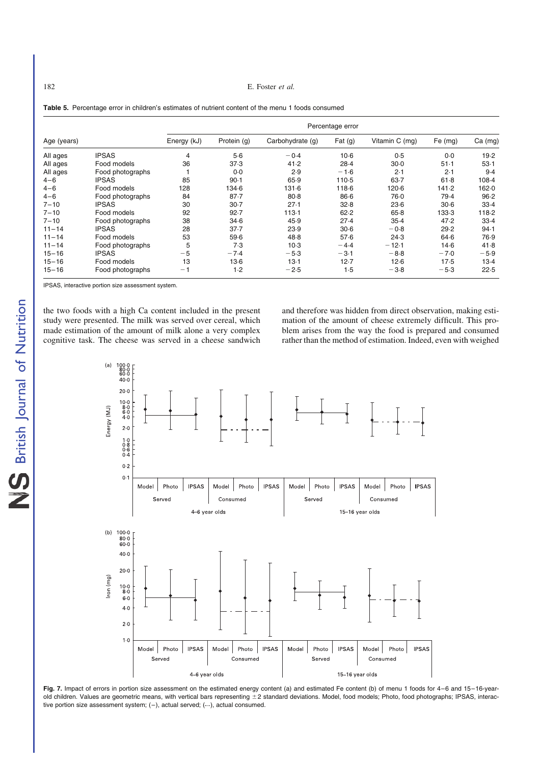182 E. Foster *et al.*

#### Percentage error Age (years) **Energy (kJ)** Protein (g) Carbohydrate (g) Fat (g) Vitamin C (mg) Fe (mg) Ca (mg) All ages IPSAS 4 5·6 -0·4 10·6 0·5 0·0 19·2 All ages Food models 36 37·3 41·2 28·4 30·0 51·1 53·1 All ages Food photographs 1 0.0 2.9 -1.6 2.1 2.1 9.4 4–6 IPSAS 85 90·1 65·9 110·5 63·7 61·8 108·4 4–6 Food models 128 134·6 131·6 118·6 120·6 141·2 162·0 4–6 Food photographs 84 87·7 80·8 86·6 76·0 79·4 96·2 7–10 IPSAS 30 30·7 27·1 32·8 23·6 30·6 33·4 7–10 Food models 92 92·7 113·1 62·2 65·8 133·3 118·2 7–10 Food photographs 38 34·6 45·9 27·4 35·4 47·2 33·4 11–14 IPSAS 28 37·7 23·9 30·6 20·8 29·2 94·1 11–14 Food models 53 59·6 48·8 57·6 24·3 64·6 76·9 11–14 Food photographs 5 7⋅3 10⋅3 −4⋅4 −12⋅1 14⋅6 41⋅8<br>15–16 IPSAS −5 −7⋅4 −5⋅3 −3⋅1 −8⋅8 −7⋅0 −5⋅9 15–16 IPSAS  $-5$   $-7.4$   $-5.3$   $-3.1$   $-8.8$   $-7.0$   $-5.9$ 15–16 Food models 13 13·6 13·1 12·7 12·6 17·5 13·4 15–16 Food models 13 13⋅6 13⋅1 12⋅7 12⋅6 17⋅5 13⋅4<br>15–16 Food photographs −1 1⋅2 −2⋅5 1⋅5 −3⋅8 −5⋅3 22⋅5

Table 5. Percentage error in children's estimates of nutrient content of the menu 1 foods consumed

IPSAS, interactive portion size assessment system.

the two foods with a high Ca content included in the present study were presented. The milk was served over cereal, which made estimation of the amount of milk alone a very complex cognitive task. The cheese was served in a cheese sandwich and therefore was hidden from direct observation, making estimation of the amount of cheese extremely difficult. This problem arises from the way the food is prepared and consumed rather than the method of estimation. Indeed, even with weighed



Fig. 7. Impact of errors in portion size assessment on the estimated energy content (a) and estimated Fe content (b) of menu 1 foods for 4-6 and 15-16-yearold children. Values are geometric means, with vertical bars representing  $\pm 2$  standard deviations. Model, food models; Photo, food photographs; IPSAS, interactive portion size assessment system;  $(-)$ , actual served;  $(-)$ , actual consumed.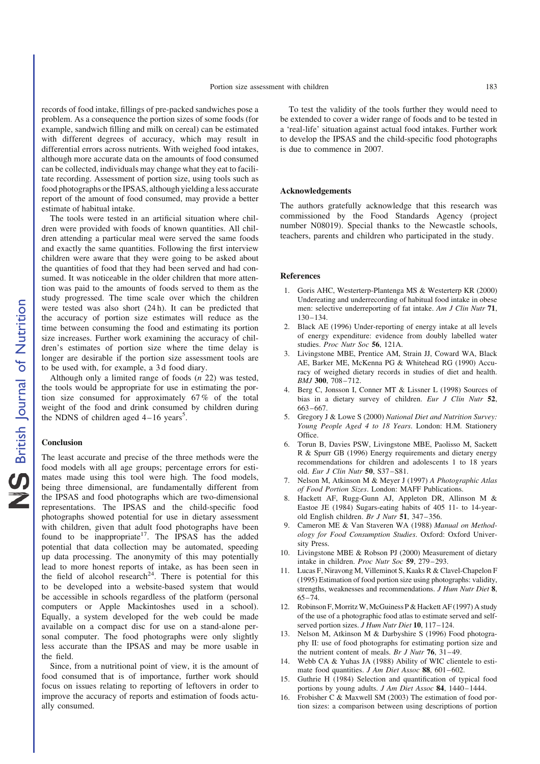records of food intake, fillings of pre-packed sandwiches pose a problem. As a consequence the portion sizes of some foods (for example, sandwich filling and milk on cereal) can be estimated with different degrees of accuracy, which may result in differential errors across nutrients. With weighed food intakes, although more accurate data on the amounts of food consumed can be collected, individuals may change what they eat to facilitate recording. Assessment of portion size, using tools such as food photographs or the IPSAS, although yielding a less accurate report of the amount of food consumed, may provide a better estimate of habitual intake.

The tools were tested in an artificial situation where children were provided with foods of known quantities. All children attending a particular meal were served the same foods and exactly the same quantities. Following the first interview children were aware that they were going to be asked about the quantities of food that they had been served and had consumed. It was noticeable in the older children that more attention was paid to the amounts of foods served to them as the study progressed. The time scale over which the children were tested was also short (24 h). It can be predicted that the accuracy of portion size estimates will reduce as the time between consuming the food and estimating its portion size increases. Further work examining the accuracy of children's estimates of portion size where the time delay is longer are desirable if the portion size assessment tools are to be used with, for example, a 3 d food diary.

Although only a limited range of foods (*n* 22) was tested, the tools would be appropriate for use in estimating the portion size consumed for approximately 67 % of the total weight of the food and drink consumed by children during the NDNS of children aged  $4-16$  years<sup>5</sup>.

#### **Conclusion**

The least accurate and precise of the three methods were the food models with all age groups; percentage errors for estimates made using this tool were high. The food models, being three dimensional, are fundamentally different from the IPSAS and food photographs which are two-dimensional representations. The IPSAS and the child-specific food photographs showed potential for use in dietary assessment with children, given that adult food photographs have been found to be inappropriate<sup>17</sup>. The  $\overline{IPSAS}$  has the added potential that data collection may be automated, speeding up data processing. The anonymity of this may potentially lead to more honest reports of intake, as has been seen in the field of alcohol research<sup>24</sup>. There is potential for this to be developed into a website-based system that would be accessible in schools regardless of the platform (personal computers or Apple Mackintoshes used in a school). Equally, a system developed for the web could be made available on a compact disc for use on a stand-alone personal computer. The food photographs were only slightly less accurate than the IPSAS and may be more usable in the field.

Since, from a nutritional point of view, it is the amount of food consumed that is of importance, further work should focus on issues relating to reporting of leftovers in order to improve the accuracy of reports and estimation of foods actually consumed.

To test the validity of the tools further they would need to be extended to cover a wider range of foods and to be tested in a 'real-life' situation against actual food intakes. Further work to develop the IPSAS and the child-specific food photographs is due to commence in 2007.

#### Acknowledgements

The authors gratefully acknowledge that this research was commissioned by the Food Standards Agency (project number N08019). Special thanks to the Newcastle schools, teachers, parents and children who participated in the study.

#### References

- 1. Goris AHC, Westerterp-Plantenga MS & Westerterp KR (2000) Undereating and underrecording of habitual food intake in obese men: selective underreporting of fat intake. *Am J Clin Nutr* 71, 130 –134.
- 2. Black AE (1996) Under-reporting of energy intake at all levels of energy expenditure: evidence from doubly labelled water studies. *Proc Nutr Soc* 56, 121A.
- 3. Livingstone MBE, Prentice AM, Strain JJ, Coward WA, Black AE, Barker ME, McKenna PG & Whitehead RG (1990) Accuracy of weighed dietary records in studies of diet and health. *BMJ* 300, 708 – 712.
- 4. Berg C, Jonsson I, Conner MT & Lissner L (1998) Sources of bias in a dietary survey of children. *Eur J Clin Nutr* 52, 663 –667.
- 5. Gregory J & Lowe S (2000) *National Diet and Nutrition Survey: Young People Aged 4 to 18 Years*. London: H.M. Stationery Office.
- 6. Torun B, Davies PSW, Livingstone MBE, Paolisso M, Sackett R & Spurr GB (1996) Energy requirements and dietary energy recommendations for children and adolescents 1 to 18 years old. *Eur J Clin Nutr* 50, S37 –S81.
- 7. Nelson M, Atkinson M & Meyer J (1997) *A Photographic Atlas of Food Portion Sizes*. London: MAFF Publications.
- 8. Hackett AF, Rugg-Gunn AJ, Appleton DR, Allinson M & Eastoe JE (1984) Sugars-eating habits of 405 11- to 14-yearold English children. *Br J Nutr* 51, 347 –356.
- 9. Cameron ME & Van Staveren WA (1988) *Manual on Methodology for Food Consumption Studies*. Oxford: Oxford University Press.
- 10. Livingstone MBE & Robson PJ (2000) Measurement of dietary intake in children. *Proc Nutr Soc* 59, 279 –293.
- 11. Lucas F, Niravong M, Villeminot S, Kaaks R & Clavel-Chapelon F (1995) Estimation of food portion size using photographs: validity, strengths, weaknesses and recommendations. *J Hum Nutr Diet* 8, 65–74.
- 12. Robinson F, Morritz W, McGuiness P & Hackett AF (1997) A study of the use of a photographic food atlas to estimate served and selfserved portion sizes. *J Hum Nutr Diet* 10, 117–124.
- 13. Nelson M, Atkinson M & Darbyshire S (1996) Food photography II: use of food photographs for estimating portion size and the nutrient content of meals. *Br J Nutr* 76, 31–49.
- 14. Webb CA & Yuhas JA (1988) Ability of WIC clientele to estimate food quantities. *J Am Diet Assoc* 88, 601-602.
- 15. Guthrie H (1984) Selection and quantification of typical food portions by young adults. *J Am Diet Assoc* 84, 1440 – 1444.
- 16. Frobisher C & Maxwell SM (2003) The estimation of food portion sizes: a comparison between using descriptions of portion